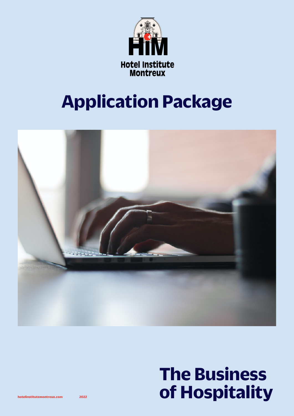

# **Application Package**



# **The Business hotelinstitutemontreux.com 2022 of Hospitality**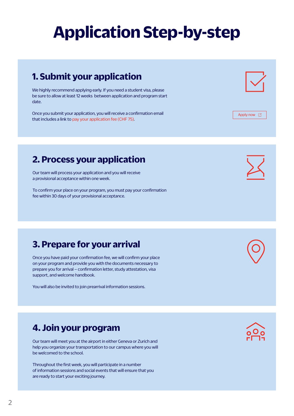# **Application Step-by-step**

# **1. Submit your application**

We highly recommend applying early. If you need a student visa, please be sure to allow at least 12 weeks between application and program start date.

Once you submit your application, you will receive a confirmation email that includes a link to pay your application fee (CHF 75).

## **2. Process your application**

Our team will process your application and you will receive a provisional acceptance within one week.

To confirm your place on your program, you must pay your confirmation fee within 30 days of your provisional acceptance.

## **3. Prepare for your arrival**

Once you have paid your confirmation fee, we will confirm your place on your program and provide you with the documents necessary to prepare you for arrival – confirmation letter, study attestation, visa support, and welcome handbook.

You will also be invited to join prearrival information sessions.

# **4. Join your program**

Our team will meet you at the airport in either Geneva or Zurich and help you organize your transportation to our campus where you will be welcomed to the school.

Throughout the first week, you will participate in a number of information sessions and social events that will ensure that you are ready to start your exciting journey.





[Apply now](https://www.hotelinstitutemontreux.com/en/apply-hotel-institute-montreux/) [2]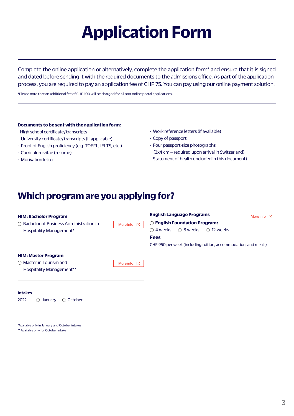# **Application Form**

Complete the online application or alternatively, complete the application form\* and ensure that it is signed and dated before sending it with the required documents to the admissions office. As part of the application process, you are required to pay an application fee of CHF 75. You can pay using our online payment solution.

\*Please note that an additional fee of CHF 100 will be charged for all non-online portal applications.

## **Documents to be sent with the application form :**

- High school certificate / transcripts
- University certificate / transcripts (if applicable)
- Proof of English proficiency (e.g. TOEFL, IELTS, etc.)
- Curriculum vitae (resume)
- Motivation letter
- Work reference letters (if available)
- Copy of passport
- Four passport-size photographs (3x4 cm – required upon arrival in Switzerland)
- Statement of health (included in this document)

## **Which program are you applying for?**

| <b>HIM: Bachelor Program</b>                                                 |                  | <b>English Language Programs</b>                                                                                                                                                           | More info<br>Г4 I |
|------------------------------------------------------------------------------|------------------|--------------------------------------------------------------------------------------------------------------------------------------------------------------------------------------------|-------------------|
| $\bigcirc$ Bachelor of Business Administration in<br>Hospitality Management* | More info $\Box$ | $\bigcirc$ English Foundation Program:<br>$\bigcirc$ 8 weeks<br>$\bigcirc$ 12 weeks<br>$\bigcirc$ 4 weeks<br><b>Fees</b><br>CHF 950 per week (including tuition, accommodation, and meals) |                   |
| <b>HIM: Master Program</b>                                                   |                  |                                                                                                                                                                                            |                   |
| $\bigcirc$ Master in Tourism and<br><b>Hospitality Management**</b>          | More info $\Box$ |                                                                                                                                                                                            |                   |

### **Intakes**

2022 Q January Q October

\*Available only in January and October intakes \*\* Available only for October intake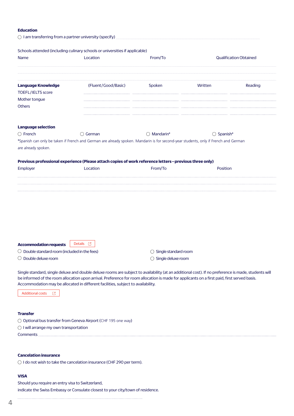### **Education**

|                                           | Schools attended (including culinary schools or universities if applicable)                                                         |                      |                               |         |
|-------------------------------------------|-------------------------------------------------------------------------------------------------------------------------------------|----------------------|-------------------------------|---------|
| <b>Name</b>                               | Location                                                                                                                            | From/To              | <b>Qualification Obtained</b> |         |
| <b>Language Knowledge</b>                 | (Fluent/Good/Basic)                                                                                                                 | Spoken               | Written                       | Reading |
| <b>TOEFL/IELTS score</b><br>Mother tongue |                                                                                                                                     |                      |                               |         |
| Others                                    |                                                                                                                                     |                      |                               |         |
| <b>Language selection</b>                 |                                                                                                                                     |                      |                               |         |
| $\bigcirc$ French                         | $\bigcirc$ German                                                                                                                   | $\bigcirc$ Mandarin* | $\bigcirc$ Spanish*           |         |
| are already spoken.                       | *Spanish can only be taken if French and German are already spoken. Mandarin is for second-year students, only if French and German |                      |                               |         |
|                                           | Previous professional experience (Please attach copies of work reference letters-previous three only)                               |                      |                               |         |
| Employer                                  | Location                                                                                                                            | From/To              | Position                      |         |
|                                           |                                                                                                                                     |                      |                               |         |
|                                           |                                                                                                                                     |                      |                               |         |
|                                           |                                                                                                                                     |                      |                               |         |
|                                           |                                                                                                                                     |                      |                               |         |
|                                           |                                                                                                                                     |                      |                               |         |
|                                           |                                                                                                                                     |                      |                               |         |
| <b>Accommodation requests</b>             | Details [2]                                                                                                                         |                      |                               |         |

 $\bigcirc$  Double standard room (included in the fees)

Double deluxe room

 $\bigcirc$  Single standard room

 $\bigcirc$  Single deluxe room

Single standard, single deluxe and double deluxe rooms are subject to availability (at an additional cost). If no preference is made, students will be informed of the room allocation upon arrival. Preference for room allocation is made for applicants on a first paid, first served basis. Accommodation may be allocated in different facilities, subject to availability.

[Additional costs](https://cms.hotelinstitutemontreux.com/sites/default/files/2022-01/HIM_Fees_January272022_1.pdf?_ga=2.89558235.1300899178.1646385722-300689548.1621240861) <sup>1</sup>

## **Transfer**

O Optional bus transfer from Geneva Airport (CHF 195 one way)

 $\bigcirc$  I will arrange my own transportation

Comments

### **Cancelation insurance**

 $\bigcirc$  I do not wish to take the cancelation insurance (CHF 290 per term).

## **VISA**

l,

Should you require an entry visa to Switzerland, indicate the Swiss Embassy or Consulate closest to your city/town of residence.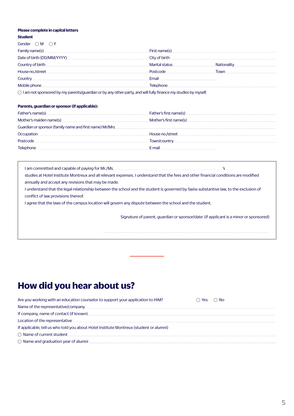#### **Please complete in capital letters**

#### **Student**

| Gender $\bigcap M$ $\bigcap F$                                                                                                                                                                                                |                |                               |
|-------------------------------------------------------------------------------------------------------------------------------------------------------------------------------------------------------------------------------|----------------|-------------------------------|
|                                                                                                                                                                                                                               |                |                               |
| Date of birth (DD/MM/YYYY) MACHARD AND THE RESEARCH OF DIRECT OF DIRECT OF DIRECT OF DIRECT OF DIRECT OF DIRECT OF DIRECT OF DIRECT OF DIRECT OF DIRECT OF DIRECT OF DIRECT OF DIRECT OF DIRECT OF DIRECT OF DIRECT OF DIRECT |                |                               |
| Country of birth                                                                                                                                                                                                              | Marital status | Nationality National Reserves |
| House no./street                                                                                                                                                                                                              | Postcode       | Town                          |
| Country                                                                                                                                                                                                                       | Fmail          |                               |
| Mobile phone.                                                                                                                                                                                                                 | Telephone      |                               |
|                                                                                                                                                                                                                               |                |                               |

 $\bigcirc$  I am not sponsored by my parents/guardian or by any other party, and will fully finance my studies by myself.

Į

### **Parents, guardian or sponsor (if applicable) :**

| Father's name(s)                                        |                          |
|---------------------------------------------------------|--------------------------|
|                                                         | . Mother's first name(s) |
| Guardian or sponsor (family name and first name) Mr/Mrs |                          |
| Occupation.                                             | . House no./street .     |
| Postcode                                                | Town/country             |
| Telephone                                               | F-mail                   |

I am committed and capable of paying for Mr./Ms. **Internal and the committed and capable of paying for Mr./Ms.**  $\overline{\phantom{a}}$ studies at Hotel Institute Montreux and all relevant expenses. I understand that the fees and other financial conditions are modified annually and accept any revisions that may be made. I understand that the legal relationship between the school and the student is governed by Swiss substantive law, to the exclusion of conflict of law provisions thereof. I agree that the laws of the campus location will govern any dispute between the school and the student.

Signature of parent, guardian or sponsor/date: (if applicant is a minor or sponsored)

# **How did you hear about us?**

| Are you working with an education counselor to support your application to HIM?                                         | ີ Yes ∩ No |
|-------------------------------------------------------------------------------------------------------------------------|------------|
| Name of the representative/company experience and the control of the representative/company                             |            |
|                                                                                                                         |            |
| Location of the representative <u>Communications</u> and the series of the representative control of the representative |            |
| If applicable, tell us who told you about Hotel Institute Montreux (student or alumni)                                  |            |
| ◯ Name of current student                                                                                               |            |
| ○ Name and graduation year of alumni <u>December 2008</u>                                                               |            |
|                                                                                                                         |            |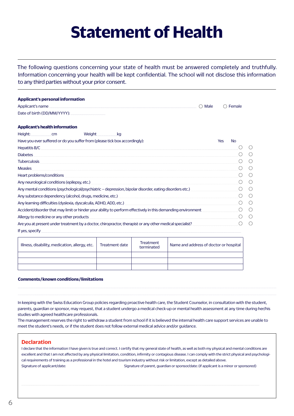# **Statement of Health**

The following questions concerning your state of health must be answered completely and truthfully. Information concerning your health will be kept confidential. The school will not disclose this information to any third parties without your prior consent.

| <b>Applicant's personal information</b>                                                                                                                                                                                        |     |                 |                                                     |
|--------------------------------------------------------------------------------------------------------------------------------------------------------------------------------------------------------------------------------|-----|-----------------|-----------------------------------------------------|
| Applicant's name experience and a series of the series of the series of the series of the series of the series<br>Male                                                                                                         | ( ) | Female          |                                                     |
|                                                                                                                                                                                                                                |     |                 |                                                     |
| <b>Applicant's health information</b>                                                                                                                                                                                          |     |                 |                                                     |
| Height: cm<br>Weight<br>kg                                                                                                                                                                                                     |     |                 |                                                     |
| Have you ever suffered or do you suffer from (please tick box accordingly):                                                                                                                                                    | Yes | <b>No</b>       |                                                     |
| Hepatitis B/C Processors and the contract of the contract of the contract of the contract of the contract of the contract of the contract of the contract of the contract of the contract of the contract of the contract of t |     |                 | (                                                   |
| <b>Diabetes</b>                                                                                                                                                                                                                |     |                 | $\left( \begin{array}{c} \cdot \end{array} \right)$ |
| <b>Tuberculosis</b>                                                                                                                                                                                                            |     | ( )             | $\left(\begin{array}{c} \end{array}\right)$         |
| <b>Measles</b>                                                                                                                                                                                                                 |     |                 | $($ )                                               |
| Heart problems/conditions                                                                                                                                                                                                      |     |                 |                                                     |
|                                                                                                                                                                                                                                |     | ( )             |                                                     |
| Any mental conditions (psychological/psychiatric – depression, bipolar disorder, eating disorders etc.)                                                                                                                        |     | ( )             | $\left(\begin{array}{c} \end{array}\right)$         |
|                                                                                                                                                                                                                                |     |                 | $\bigcirc$                                          |
|                                                                                                                                                                                                                                |     | ∩               | ◯                                                   |
| Accident/disorder that may limit or hinder your ability to perform effectively in this demanding environment                                                                                                                   |     | $\left(\right)$ | $\left(\right)$                                     |
| Allergy to medicine or any other products                                                                                                                                                                                      |     |                 | $\left( \right)$                                    |
| Are you at present under treatment by a doctor, chiropractor, therapist or any other medical specialist?                                                                                                                       |     | ( )             | $\left( \ \right)$                                  |
| If yes, specify example to the control of the control of the control of the control of the control of the control of the control of the control of the control of the control of the control of the control of the control of  |     |                 |                                                     |

| Illness, disability, medication, allergy, etc. | Treatment date | Treatment<br>terminated | Name and address of doctor or hospital |
|------------------------------------------------|----------------|-------------------------|----------------------------------------|
|                                                |                |                         |                                        |
|                                                |                |                         |                                        |
|                                                |                |                         |                                        |

## **Comments / known conditions / limitations**

In keeping with the Swiss Education Group policies regarding proactive health care, the Student Counselor, in consultation with the student, parents, guardian or sponsor, may request, that a student undergo a medical check-up or mental health assessment at any time during her/his studies with agreed healthcare professionals.

j

j.

The management reserves the right to withdraw a student from school if it is believed the internal health care support services are unable to meet the student's needs, or if the student does not follow external medical advice and/or guidance.

## **Declaration**

I declare that the information I have given is true and correct. I certify that my general state of health, as well as both my physical and mental conditions are excellent and that I am not affected by any physical limitation, condition, infirmity or contagious disease. I can comply with the strict physical and psychological requirements of training as a professional in the hotel and tourism industry without risk or limitation, except as detailed above. Signature of applicant/date: Signature of parent, guardian or sponsor/date: (if applicant is a minor or sponsored)

l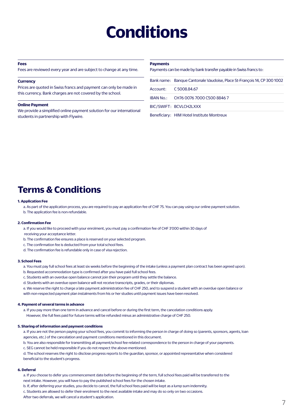# **Conditions**

#### **Fees**

Fees are reviewed every year and are subject to change at any time.

#### **Currency**

Prices are quoted in Swiss francs and payment can only be made in this currency. Bank charges are not covered by the school.

#### **Online Payment**

We provide a simplified online payment solution for our international students in partnership with Flywire.

#### **Payments**

Payments can be made by bank transfer payable in Swiss francs to:

| Bank name: Banque Cantonale Vaudoise, Place St-Francois 14, CP 300 1002 |
|-------------------------------------------------------------------------|
| Account: C 5008.84.67                                                   |
| IBAN No.: CH76 0076 7000 C500 8846 7                                    |
| BIC/SWIFT: BCVLCH2LXXX                                                  |

Beneficiary : HIM Hotel Institute Montreux

# **Terms & Conditions**

#### **1. Application Fee**

a. As part of the application process, you are required to pay an application fee of CHF 75. You can pay using our online payment solution.

b. The application fee is non-refundable.

#### **2. Confirmation Fee**

a. If you would like to proceed with your enrolment, you must pay a confirmation fee of CHF 3'000 within 30 days of

receiving your acceptance letter.

- b. The confirmation fee ensures a place is reserved on your selected program.
- c. The confirmation fee is deducted from your total school fees.
- d. The confirmation fee is refundable only in case of visa rejection.

#### **3. School Fees**

- a. You must pay full school fees at least six weeks before the beginning of the intake (unless a payment plan contract has been agreed upon).
- b. Requested accommodation type is confirmed after you have paid full school fees.
- c. Students with an overdue open balance cannot join their program until they settle the balance.
- d. Students with an overdue open balance will not receive transcripts, grades, or their diplomas.
- e. We reserve the right to charge a late payment administration fee of CHF 250, and to suspend a student with an overdue open balance or with non-respected payment plan instalments from his or her studies until payment issues have been resolved.

#### **4. Payment of several terms in advance**

- a. If you pay more than one term in advance and cancel before or during the first term, the cancelation conditions apply.
- However, the full fees paid for future terms will be refunded minus an administrative charge of CHF 250.

#### **5. Sharing of information and payment conditions**

a. If you are not the person paying your school fees, you commit to informing the person in charge of doing so (parents, sponsors, agents, loan agencies, etc.) of the cancelation and payment conditions mentioned in this document.

b. You are also responsible for transmitting all payment/school fee-related correspondence to the person in charge of your payments.

c. SEG cannot be held responsible if you do not respect the above-mentioned.

d. The school reserves the right to disclose progress reports to the guardian, sponsor, or appointed representative when considered beneficial to the student's progress.

#### **6. Deferral**

a. If you choose to defer you commencement date before the beginning of the term, full school fees paid will be transferred to the next intake. However, you will have to pay the published school fees for the chosen intake.

b. If, after deferring your studies, you decide to cancel, the full school fees paid will be kept as a lump sum indemnity.

c. Students are allowed to defer their enrolment to the next available intake and may do so only on two occasions.

After two deferrals, we will cancel a student's application.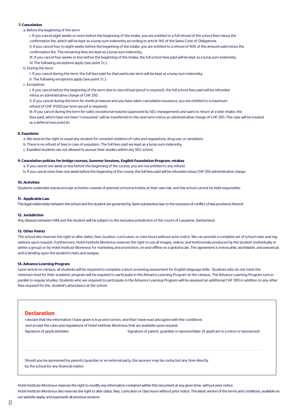#### **7. Cancelation**

a. Before the beginning of the term:

 I. If you cancel eight weeks or more before the beginning of the intake, you are entitled to a full refund of the school fees minus the confirmation fee, which will be kept as a lump sum indemnity according to article 160 of the Swiss Code of Obligations. II. If you cancel four to eight weeks before the beginning of the intake, you are entitled to a refund of 50% of the amount paid minus the confirmation fee. The remaining fees are kept as a lump sum indemnity.

 III. If you cancel four weeks or less before the beginning of the intake, the full school fees paid will be kept as a lump sum indemnity. IV. The following exceptions apply (see point 7.c.).

b. During the term:

I. If you cancel during the term, the full fees paid for that particular term will be kept as a lump sum indemnity.

II. The following exceptions apply (see point 7.c.).

c. Exceptions

 I. If you cancel before the beginning of the term due to visa refusal (proof is required), the full school fees paid will be refunded minus an administrative charge of CHF 250.

 II. If you cancel during the term for medical reasons and you have taken cancelation insurance, you are entitled to a maximum refund of CHF 9'000 per term (proof is required).

 III. If you cancel during the term for valid, exceptional reasons (approved by SEG management) and want to return at a later intake, the fees paid, which have not been "consumed," will be transferred to the next term minus an administrative charge of CHF 250. This case will be treated as a deferral (see point 6).

#### **8. Expulsion**

a. We reserve the right to expel any student for constant violation of rules and regulations, drug use, or vandalism.

- b. There is no refund of fees in case of expulsion. The full fees paid are kept as a lump sum indemnity.
- c. Expelled students are not allowed to pursue their studies within any SEG school.

#### **9. Cancelation policies for bridge courses, Summer Sessions, English Foundation Program, retakes**

a. If you cancel one week or less before the beginning of the course, you are not entitled to any refund.

b. If you cancel more than one week before the beginning of the course, the full fees paid will be refunded minus CHF 250 administrative charge.

#### **10. Activities**

Students undertake extracurricular activities outside of planned school activities at their own risk, and the school cannot be held responsible.

#### **11. Applicable Law**

The legal relationship between the school and the student are governed by Swiss substantive law, to the exclusion of conflict of law provisions thereof.

#### **12. Jurisdiction**

Any dispute between HIM and the student will be subject to the exclusive jurisdiction of the courts of Lausanne, Switzerland.

#### **13. Other Points**

The school also reserves the right to alter dates, fees, location, curriculum, or class hours without prior notice. We can provide a complete set of school rules and regulations upon request. Furthermore, Hotel Institute Montreux reserves the right to use all images, videos, and testimonials produced by the student (individually or within a group) or by Hotel Institute Montreux for marketing and promotion, on-and-offline on a global scale. The agreement is irrevocable, worldwide, and perpetual and is binding upon the student's heirs and assigns.

#### **14. Advance Learning Program**

Upon arrival on campus, all students will be required to complete a short screening assessment for English language skills. Students who do not meet the minimum level for their academic program will be required to participate in the Advance Learning Program at the campus. The Advance Learning Program runs in parallel to regular studies. Students who are required to participate in the Advance Learning Program will be assessed an additional CHF 390 in addition to any other fees required for the student's attendance at the school.

#### **Declaration**

J

I declare that the information I have given is true and correct, and that I have read and agree with the conditions and accept the rules and regulations of Hotel Institute Montreux that are available upon request. Signature of applicant/date: Signature of parent, guardian or sponsor/date: (if applicant is a minor or sponsored)

Should you be sponsored by parents / guardian or an external party, the sponsor may be contacted any time directly by the school for any financial matter.

Hotel Institute Montreux reserves the right to modify any information contained within this document at any given time, without prior notice. Hotel Institute Montreux also reserves the right to alter dates, fees, curriculum or class hours without prior notice. The latest version of the terms and conditions, available on our website apply, and supersede all previous versions.